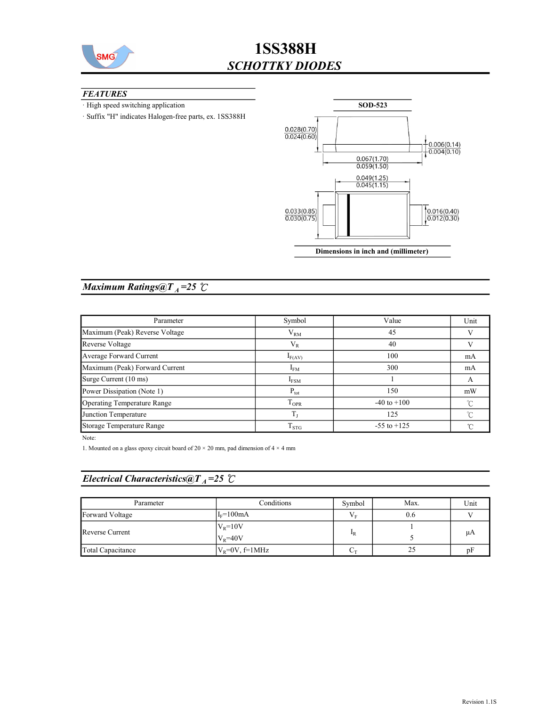

#### **FEATURES**

· High speed switching application

· Suffix "H" indicates Halogen-free parts, ex. 1SS388H



### Maximum Ratings@ $T_A = 25$   $\degree$ C

| Parameter                      | Symbol           | Value           | Unit     |
|--------------------------------|------------------|-----------------|----------|
| Maximum (Peak) Reverse Voltage | $V_{RM}$         | 45              |          |
| Reverse Voltage                | $V_{R}$          | 40              |          |
| Average Forward Current        | $I_{F(AV)}$      | 100             | mA       |
| Maximum (Peak) Forward Current | $I_{FM}$         | 300             | mA       |
| Surge Current (10 ms)          | $I_{FSM}$        |                 | A        |
| Power Dissipation (Note 1)     | $P_{\text{tot}}$ | 150             | mW       |
| Operating Temperature Range    | $T_{\rm OPR}$    | $-40$ to $+100$ | $\sim$   |
| Junction Temperature           | $T_{\rm L}$      | 125             | $\gamma$ |
| Storage Temperature Range      | $T_{STG}$        | $-55$ to $+125$ |          |

Note:

1. Mounted on a glass epoxy circuit board of 20  $\times$  20 mm, pad dimension of 4  $\times$  4 mm

### Electrical Characteristics@T<sub>A</sub>=25  $\mathcal{C}$

| Parameter         | Conditions                       | Symbol           | Max. | Unit |
|-------------------|----------------------------------|------------------|------|------|
| Forward Voltage   | $I_F = 100mA$                    | $V_{\rm F}$      | 0.6  |      |
| Reverse Current   | $V_R = 10V$<br>$V_{\rm R} = 40V$ | $\mathbf{I}_{R}$ |      | μA   |
| Total Capacitance | $V_R = 0V$ , f=1MHz              | $\sqrt{\tau}$    | 25   | nŀ   |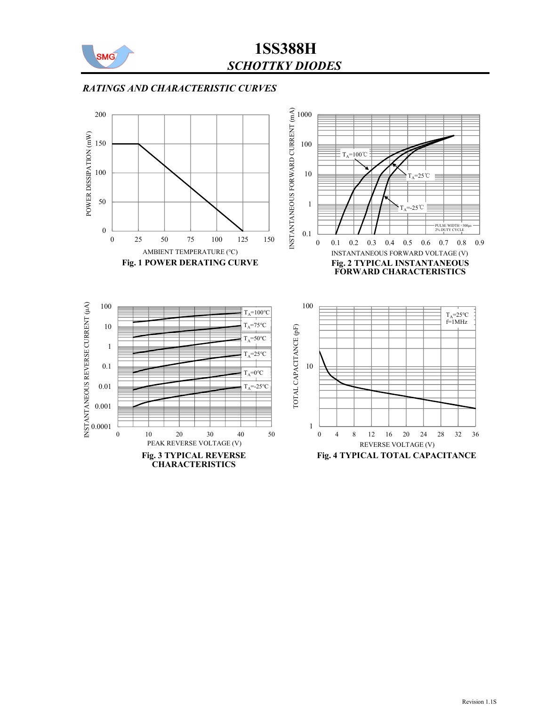

### RATINGS AND CHARACTERISTIC CURVES

![](_page_1_Figure_3.jpeg)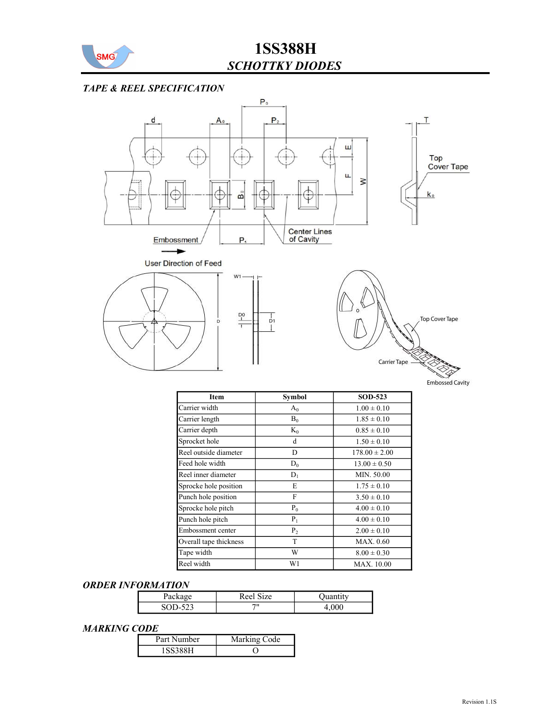![](_page_2_Picture_0.jpeg)

### TAPE & REEL SPECIFICATION

![](_page_2_Figure_3.jpeg)

| mbossed Cavity |  |
|----------------|--|
|                |  |

| <b>Item</b>            | Symbol  | <b>SOD-523</b>    |
|------------------------|---------|-------------------|
| Carrier width          | $A_0$   | $1.00 \pm 0.10$   |
| Carrier length         | $B_0$   | $1.85 \pm 0.10$   |
| Carrier depth          | $K_0$   | $0.85 \pm 0.10$   |
| Sprocket hole          | d       | $1.50 \pm 0.10$   |
| Reel outside diameter  | D       | $178.00 \pm 2.00$ |
| Feed hole width        | $D_0$   | $13.00 \pm 0.50$  |
| Reel inner diameter    | $D_1$   | MIN. 50.00        |
| Sprocke hole position  | Е       | $1.75 \pm 0.10$   |
| Punch hole position    | F       | $3.50 \pm 0.10$   |
| Sprocke hole pitch     | $P_0$   | $4.00 \pm 0.10$   |
| Punch hole pitch       | $P_1$   | $4.00 \pm 0.10$   |
| Embossment center      | $P_{2}$ | $2.00 \pm 0.10$   |
| Overall tape thickness | T       | MAX. 0.60         |
| Tape width             | W       | $8.00 \pm 0.30$   |
| Reel width             | W1      | <b>MAX.</b> 10.00 |

#### ORDER INFORMATION

| $\alpha$<br>۲а             | Reel<br>`ıze |  |
|----------------------------|--------------|--|
| $\sqrt{2}$<br>SOD-1<br>د∠ر | 711          |  |

#### MARKING CODE

| Part Number | Marking Code |
|-------------|--------------|
| ' 99229°    |              |